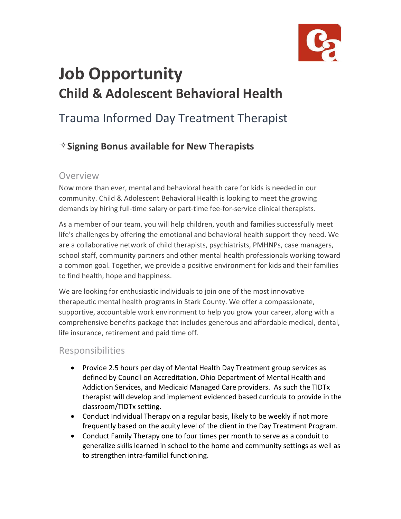

# **Job Opportunity Child & Adolescent Behavioral Health**

## Trauma Informed Day Treatment Therapist

### **Signing Bonus available for New Therapists**

#### Overview

Now more than ever, mental and behavioral health care for kids is needed in our community. Child & Adolescent Behavioral Health is looking to meet the growing demands by hiring full-time salary or part-time fee-for-service clinical therapists.

As a member of our team, you will help children, youth and families successfully meet life's challenges by offering the emotional and behavioral health support they need. We are a collaborative network of child therapists, psychiatrists, PMHNPs, case managers, school staff, community partners and other mental health professionals working toward a common goal. Together, we provide a positive environment for kids and their families to find health, hope and happiness.

We are looking for enthusiastic individuals to join one of the most innovative therapeutic mental health programs in Stark County. We offer a compassionate, supportive, accountable work environment to help you grow your career, along with a comprehensive benefits package that includes generous and affordable medical, dental, life insurance, retirement and paid time off.

#### Responsibilities

- Provide 2.5 hours per day of Mental Health Day Treatment group services as defined by Council on Accreditation, Ohio Department of Mental Health and Addiction Services, and Medicaid Managed Care providers. As such the TIDTx therapist will develop and implement evidenced based curricula to provide in the classroom/TIDTx setting.
- Conduct Individual Therapy on a regular basis, likely to be weekly if not more frequently based on the acuity level of the client in the Day Treatment Program.
- Conduct Family Therapy one to four times per month to serve as a conduit to generalize skills learned in school to the home and community settings as well as to strengthen intra-familial functioning.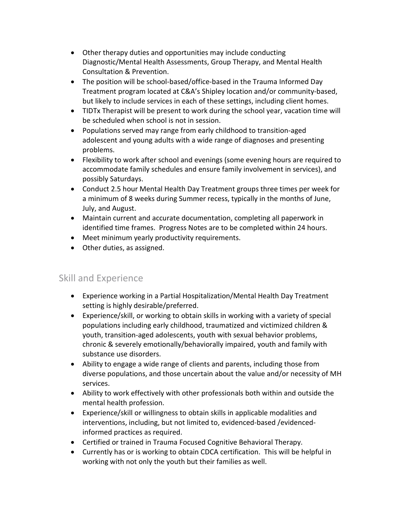- Other therapy duties and opportunities may include conducting Diagnostic/Mental Health Assessments, Group Therapy, and Mental Health Consultation & Prevention.
- The position will be school-based/office-based in the Trauma Informed Day Treatment program located at C&A's Shipley location and/or community-based, but likely to include services in each of these settings, including client homes.
- TIDTx Therapist will be present to work during the school year, vacation time will be scheduled when school is not in session.
- Populations served may range from early childhood to transition-aged adolescent and young adults with a wide range of diagnoses and presenting problems.
- Flexibility to work after school and evenings (some evening hours are required to accommodate family schedules and ensure family involvement in services), and possibly Saturdays.
- Conduct 2.5 hour Mental Health Day Treatment groups three times per week for a minimum of 8 weeks during Summer recess, typically in the months of June, July, and August.
- Maintain current and accurate documentation, completing all paperwork in identified time frames. Progress Notes are to be completed within 24 hours.
- Meet minimum yearly productivity requirements.
- Other duties, as assigned.

#### Skill and Experience

- Experience working in a Partial Hospitalization/Mental Health Day Treatment setting is highly desirable/preferred.
- Experience/skill, or working to obtain skills in working with a variety of special populations including early childhood, traumatized and victimized children & youth, transition-aged adolescents, youth with sexual behavior problems, chronic & severely emotionally/behaviorally impaired, youth and family with substance use disorders.
- Ability to engage a wide range of clients and parents, including those from diverse populations, and those uncertain about the value and/or necessity of MH services.
- Ability to work effectively with other professionals both within and outside the mental health profession.
- Experience/skill or willingness to obtain skills in applicable modalities and interventions, including, but not limited to, evidenced-based /evidencedinformed practices as required.
- Certified or trained in Trauma Focused Cognitive Behavioral Therapy.
- Currently has or is working to obtain CDCA certification. This will be helpful in working with not only the youth but their families as well.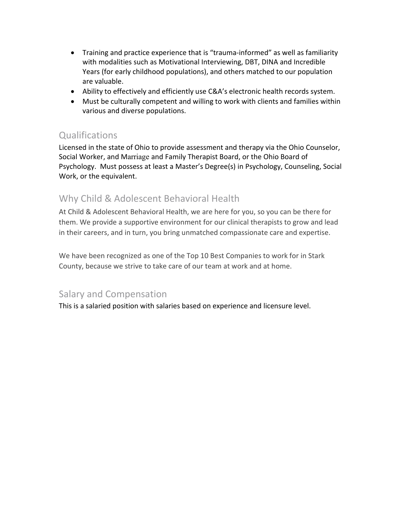- Training and practice experience that is "trauma-informed" as well as familiarity with modalities such as Motivational Interviewing, DBT, DINA and Incredible Years (for early childhood populations), and others matched to our population are valuable.
- Ability to effectively and efficiently use C&A's electronic health records system.
- Must be culturally competent and willing to work with clients and families within various and diverse populations.

#### **Qualifications**

Licensed in the state of Ohio to provide assessment and therapy via the Ohio Counselor, Social Worker, and Marriage and Family Therapist Board, or the Ohio Board of Psychology. Must possess at least a Master's Degree(s) in Psychology, Counseling, Social Work, or the equivalent.

#### Why Child & Adolescent Behavioral Health

At Child & Adolescent Behavioral Health, we are here for you, so you can be there for them. We provide a supportive environment for our clinical therapists to grow and lead in their careers, and in turn, you bring unmatched compassionate care and expertise.

We have been recognized as one of the Top 10 Best Companies to work for in Stark County, because we strive to take care of our team at work and at home.

#### Salary and Compensation

This is a salaried position with salaries based on experience and licensure level.